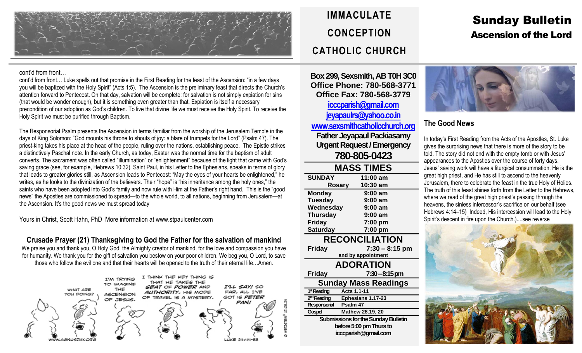

cont'd from front…

cont'd from front… Luke spells out that promise in the First Reading for the feast of the Ascension: "in a few days you will be baptized with the Holy Spirit" (Acts 1:5). The Ascension is the preliminary feast that directs the Church's attention forward to Pentecost. On that day, salvation will be complete; for salvation is not simply expiation for sins (that would be wonder enough), but it is something even greater than that. Expiation is itself a necessary precondition of our adoption as God's children. To live that divine life we must receive the Holy Spirit. To receive the Holy Spirit we must be purified through Baptism.

The Responsorial Psalm presents the Ascension in terms familiar from the worship of the Jerusalem Temple in the days of King Solomon: "God mounts his throne to shouts of joy: a blare of trumpets for the Lord" (Psalm 47). The priest-king takes his place at the head of the people, ruling over the nations, establishing peace. The Epistle strikes a distinctively Paschal note. In the early Church, as today, Easter was the normal time for the baptism of adult converts. The sacrament was often called "illumination" or "enlightenment" because of the light that came with God's saving grace (see, for example, Hebrews 10:32). Saint Paul, in his Letter to the Ephesians, speaks in terms of glory that leads to greater glories still, as Ascension leads to Pentecost: "May the eyes of your hearts be enlightened," he writes, as he looks to the divinization of the believers. Their "hope" is "his inheritance among the holy ones," the saints who have been adopted into God's family and now rule with Him at the Father's right hand. This is the "good news" the Apostles are commissioned to spread—to the whole world, to all nations, beginning from Jerusalem—at the Ascension. It's the good news we must spread today

Yours in Christ, Scott Hahn, PhD More information at [www.stpaulcenter.com](http://www.stpaulcenter.com/)

**Crusade Prayer (21) Thanksgiving to God the Father for the salvation of mankind**

We praise you and thank you, O Holy God, the Almighty creator of mankind, for the love and compassion you have for humanity. We thank you for the gift of salvation you bestow on your poor children. We beg you, O Lord, to save those who follow the evil one and that their hearts will be opened to the truth of their eternal life…Amen.



# **IMMACULATE CONCEPTION CATHOLIC CHURCH**

**Box 299, Sexsmith, AB T0H 3C0 Office Phone: 780-568-3771 Office Fax: 780-568-3779 [icccparish@gmail.com](mailto:icccparish@gmail.com) [jeyapaulrs@yahoo.co.in](mailto:jeyapaulrs@yahoo.co.in) [www.sexsmithcatholicchurch.org](http://www.sexsmithcatholicchurch.org/) Father Jeyapaul Packiasamy Urgent Request/Emergency 780-805-0423**

| <b>MASS TIMES</b>                      |                    |  |  |  |
|----------------------------------------|--------------------|--|--|--|
| <b>SUNDAY</b>                          | 11:00 am           |  |  |  |
| Rosary                                 | 10:30 am           |  |  |  |
| <b>Monday</b>                          | $9:00$ am          |  |  |  |
| <b>Tuesday</b>                         | $9:00$ am          |  |  |  |
| Wednesday                              | $9:00$ am          |  |  |  |
| <b>Thursday</b>                        | $9:00$ am          |  |  |  |
| <b>Friday</b>                          | 7:00 pm            |  |  |  |
| <b>Saturday</b>                        | 7:00 pm            |  |  |  |
| <b>RECONCILIATION</b>                  |                    |  |  |  |
| <b>Friday</b>                          | $7:30 - 8:15$ pm   |  |  |  |
|                                        | and by appointment |  |  |  |
| <b>ADORATION</b>                       |                    |  |  |  |
| <b>Friday</b>                          | $7:30 - 8:15$ pm   |  |  |  |
| <b>Sunday Mass Readings</b>            |                    |  |  |  |
| 1 <sup>st</sup> Reading<br>Acts 1.1-11 |                    |  |  |  |
| 2 <sup>nd</sup> Reading                | Ephesians 1.17-23  |  |  |  |
| . .<br><b>BUILDER</b>                  |                    |  |  |  |

**Responsorial Psalm 47 Gospel Mathew 28.19, 20 Submissions for the Sunday Bulletin before 5:00 pm Thursto icccparish@gmail.com**

## Sunday Bulletin Ascension of the Lord



### **The Good News**

In today's First Reading from the Acts of the Apostles, St. Luke gives the surprising news that there is more of the story to be told. The story did not end with the empty tomb or with Jesus' appearances to the Apostles over the course of forty days. Jesus' saving work will have a liturgical consummation. He is the great high priest, and He has still to ascend to the heavenly Jerusalem, there to celebrate the feast in the true Holy of Holies. The truth of this feast shines forth from the Letter to the Hebrews, where we read of the great high priest's passing through the heavens, the sinless intercessor's sacrifice on our behalf (see Hebrews 4:14–15) Indeed, His intercession will lead to the Holy Spirit's descent in fire upon the Church.)....see reverse